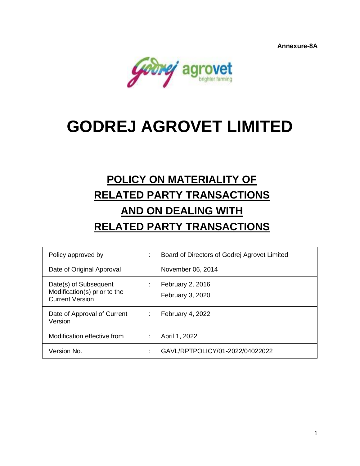**Annexure-8A**



# **GODREJ AGROVET LIMITED**

# **POLICY ON MATERIALITY OF RELATED PARTY TRANSACTIONS AND ON DEALING WITH RELATED PARTY TRANSACTIONS**

| Policy approved by                                                              |    | Board of Directors of Godrej Agrovet Limited |
|---------------------------------------------------------------------------------|----|----------------------------------------------|
| Date of Original Approval                                                       |    | November 06, 2014                            |
| Date(s) of Subsequent<br>Modification(s) prior to the<br><b>Current Version</b> | ÷. | February 2, 2016<br>February 3, 2020         |
| Date of Approval of Current<br>Version                                          | ÷. | February 4, 2022                             |
| Modification effective from                                                     |    | April 1, 2022                                |
| Version No.                                                                     |    | GAVL/RPTPOLICY/01-2022/04022022              |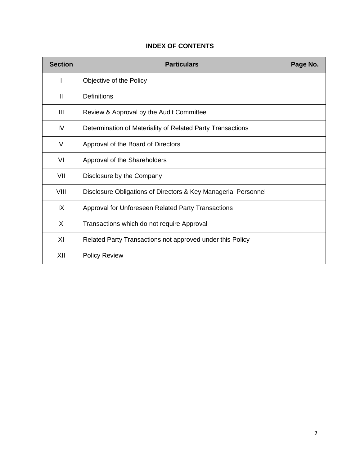| <b>Section</b> | <b>Particulars</b>                                             | Page No. |
|----------------|----------------------------------------------------------------|----------|
|                | Objective of the Policy                                        |          |
| $\mathbf{I}$   | Definitions                                                    |          |
| III            | Review & Approval by the Audit Committee                       |          |
| IV             | Determination of Materiality of Related Party Transactions     |          |
| V              | Approval of the Board of Directors                             |          |
| VI             | Approval of the Shareholders                                   |          |
| VII            | Disclosure by the Company                                      |          |
| VIII           | Disclosure Obligations of Directors & Key Managerial Personnel |          |
| IX             | Approval for Unforeseen Related Party Transactions             |          |
| X              | Transactions which do not require Approval                     |          |
| XI             | Related Party Transactions not approved under this Policy      |          |
| XII            | <b>Policy Review</b>                                           |          |

## **INDEX OF CONTENTS**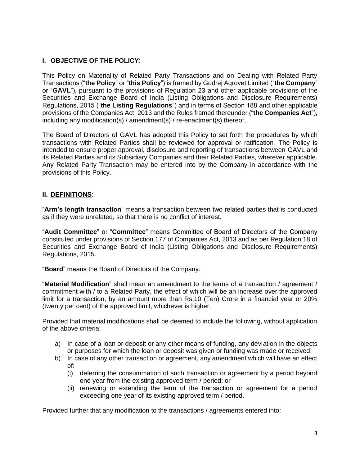## **I. OBJECTIVE OF THE POLICY**:

This Policy on Materiality of Related Party Transactions and on Dealing with Related Party Transactions ("**the Policy**" or "**this Policy**") is framed by Godrej Agrovet Limited ("**the Company**" or "**GAVL**"), pursuant to the provisions of Regulation 23 and other applicable provisions of the Securities and Exchange Board of India (Listing Obligations and Disclosure Requirements) Regulations, 2015 ("**the Listing Regulations**") and in terms of Section 188 and other applicable provisions of the Companies Act, 2013 and the Rules framed thereunder ("**the Companies Act**"), including any modification(s) / amendment(s) / re-enactment(s) thereof.

The Board of Directors of GAVL has adopted this Policy to set forth the procedures by which transactions with Related Parties shall be reviewed for approval or ratification. The Policy is intended to ensure proper approval, disclosure and reporting of transactions between GAVL and its Related Parties and its Subsidiary Companies and their Related Parties, wherever applicable. Any Related Party Transaction may be entered into by the Company in accordance with the provisions of this Policy.

#### **II. DEFINITIONS**:

"**Arm's length transaction**" means a transaction between two related parties that is conducted as if they were unrelated, so that there is no conflict of interest.

"**Audit Committee**" or "**Committee**" means Committee of Board of Directors of the Company constituted under provisions of Section 177 of Companies Act, 2013 and as per Regulation 18 of Securities and Exchange Board of India (Listing Obligations and Disclosure Requirements) Regulations, 2015.

"**Board**" means the Board of Directors of the Company.

"**Material Modification**" shall mean an amendment to the terms of a transaction / agreement / commitment with / to a Related Party, the effect of which will be an increase over the approved limit for a transaction, by an amount more than Rs.10 (Ten) Crore in a financial year or 20% (twenty per cent) of the approved limit, whichever is higher.

Provided that material modifications shall be deemed to include the following, without application of the above criteria:

- a) In case of a loan or deposit or any other means of funding, any deviation in the objects or purposes for which the loan or deposit was given or funding was made or received;
- b) In case of any other transaction or agreement, any amendment which will have an effect of:
	- (i) deferring the consummation of such transaction or agreement by a period beyond one year from the existing approved term / period; or
	- (ii) renewing or extending the term of the transaction or agreement for a period exceeding one year of its existing approved term / period.

Provided further that any modification to the transactions / agreements entered into: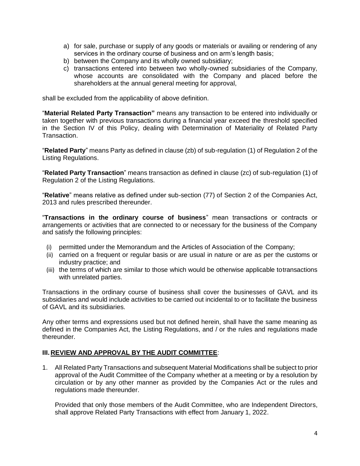- a) for sale, purchase or supply of any goods or materials or availing or rendering of any services in the ordinary course of business and on arm's length basis;
- b) between the Company and its wholly owned subsidiary;
- c) transactions entered into between two wholly-owned subsidiaries of the Company, whose accounts are consolidated with the Company and placed before the shareholders at the annual general meeting for approval,

shall be excluded from the applicability of above definition.

"**Material Related Party Transaction"** means any transaction to be entered into individually or taken together with previous transactions during a financial year exceed the threshold specified in the Section IV of this Policy, dealing with Determination of Materiality of Related Party Transaction.

"**Related Party**" means Party as defined in clause (zb) of sub-regulation (1) of Regulation 2 of the Listing Regulations.

"**Related Party Transaction**" means transaction as defined in clause (zc) of sub-regulation (1) of Regulation 2 of the Listing Regulations.

"**Relative**" means relative as defined under sub-section (77) of Section 2 of the Companies Act, 2013 and rules prescribed thereunder.

"**Transactions in the ordinary course of business**" mean transactions or contracts or arrangements or activities that are connected to or necessary for the business of the Company and satisfy the following principles:

- (i) permitted under the Memorandum and the Articles of Association of the Company;
- (ii) carried on a frequent or regular basis or are usual in nature or are as per the customs or industry practice; and
- (iii) the terms of which are similar to those which would be otherwise applicable totransactions with unrelated parties.

Transactions in the ordinary course of business shall cover the businesses of GAVL and its subsidiaries and would include activities to be carried out incidental to or to facilitate the business of GAVL and its subsidiaries.

Any other terms and expressions used but not defined herein, shall have the same meaning as defined in the Companies Act, the Listing Regulations, and / or the rules and regulations made thereunder.

#### **III. REVIEW AND APPROVAL BY THE AUDIT COMMITTEE**:

1. All Related Party Transactions and subsequent Material Modifications shall be subject to prior approval of the Audit Committee of the Company whether at a meeting or by a resolution by circulation or by any other manner as provided by the Companies Act or the rules and regulations made thereunder.

Provided that only those members of the Audit Committee, who are Independent Directors, shall approve Related Party Transactions with effect from January 1, 2022.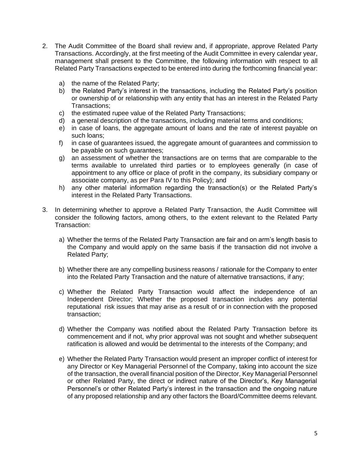- 2. The Audit Committee of the Board shall review and, if appropriate, approve Related Party Transactions. Accordingly, at the first meeting of the Audit Committee in every calendar year, management shall present to the Committee, the following information with respect to all Related Party Transactions expected to be entered into during the forthcoming financial year:
	- a) the name of the Related Party;
	- b) the Related Party's interest in the transactions, including the Related Party's position or ownership of or relationship with any entity that has an interest in the Related Party Transactions;
	- c) the estimated rupee value of the Related Party Transactions;
	- d) a general description of the transactions, including material terms and conditions;
	- e) in case of loans, the aggregate amount of loans and the rate of interest payable on such loans;
	- f) in case of guarantees issued, the aggregate amount of guarantees and commission to be payable on such quarantees;
	- g) an assessment of whether the transactions are on terms that are comparable to the terms available to unrelated third parties or to employees generally (in case of appointment to any office or place of profit in the company, its subsidiary company or associate company, as per Para IV to this Policy); and
	- h) any other material information regarding the transaction(s) or the Related Party's interest in the Related Party Transactions.
- 3. In determining whether to approve a Related Party Transaction, the Audit Committee will consider the following factors, among others, to the extent relevant to the Related Party Transaction:
	- a) Whether the terms of the Related Party Transaction are fair and on arm's length basis to the Company and would apply on the same basis if the transaction did not involve a Related Party;
	- b) Whether there are any compelling business reasons / rationale for the Company to enter into the Related Party Transaction and the nature of alternative transactions, if any;
	- c) Whether the Related Party Transaction would affect the independence of an Independent Director; Whether the proposed transaction includes any potential reputational risk issues that may arise as a result of or in connection with the proposed transaction;
	- d) Whether the Company was notified about the Related Party Transaction before its commencement and if not, why prior approval was not sought and whether subsequent ratification is allowed and would be detrimental to the interests of the Company; and
	- e) Whether the Related Party Transaction would present an improper conflict of interest for any Director or Key Managerial Personnel of the Company, taking into account the size of the transaction, the overall financial position of the Director, Key Managerial Personnel or other Related Party, the direct or indirect nature of the Director's, Key Managerial Personnel's or other Related Party's interest in the transaction and the ongoing nature of any proposed relationship and any other factors the Board/Committee deems relevant.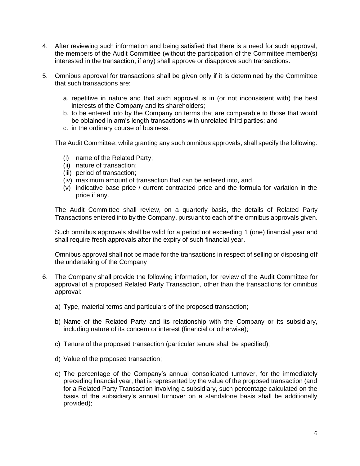- 4. After reviewing such information and being satisfied that there is a need for such approval, the members of the Audit Committee (without the participation of the Committee member(s) interested in the transaction, if any) shall approve or disapprove such transactions.
- 5. Omnibus approval for transactions shall be given only if it is determined by the Committee that such transactions are:
	- a. repetitive in nature and that such approval is in (or not inconsistent with) the best interests of the Company and its shareholders;
	- b. to be entered into by the Company on terms that are comparable to those that would be obtained in arm's length transactions with unrelated third parties; and
	- c. in the ordinary course of business.

The Audit Committee, while granting any such omnibus approvals, shall specify the following:

- (i) name of the Related Party;
- (ii) nature of transaction;
- (iii) period of transaction;
- (iv) maximum amount of transaction that can be entered into, and
- (v) indicative base price / current contracted price and the formula for variation in the price if any.

The Audit Committee shall review, on a quarterly basis, the details of Related Party Transactions entered into by the Company, pursuant to each of the omnibus approvals given.

Such omnibus approvals shall be valid for a period not exceeding 1 (one) financial year and shall require fresh approvals after the expiry of such financial year.

Omnibus approval shall not be made for the transactions in respect of selling or disposing off the undertaking of the Company

- 6. The Company shall provide the following information, for review of the Audit Committee for approval of a proposed Related Party Transaction, other than the transactions for omnibus approval:
	- a) Type, material terms and particulars of the proposed transaction;
	- b) Name of the Related Party and its relationship with the Company or its subsidiary, including nature of its concern or interest (financial or otherwise);
	- c) Tenure of the proposed transaction (particular tenure shall be specified);
	- d) Value of the proposed transaction;
	- e) The percentage of the Company's annual consolidated turnover, for the immediately preceding financial year, that is represented by the value of the proposed transaction (and for a Related Party Transaction involving a subsidiary, such percentage calculated on the basis of the subsidiary's annual turnover on a standalone basis shall be additionally provided);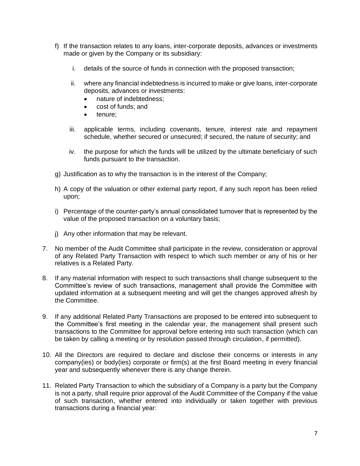- f) If the transaction relates to any loans, inter-corporate deposits, advances or investments made or given by the Company or its subsidiary:
	- i. details of the source of funds in connection with the proposed transaction;
	- ii. where any financial indebtedness is incurred to make or give loans, inter-corporate deposits, advances or investments:
		- nature of indebtedness:
		- cost of funds; and
		- tenure;
	- iii. applicable terms, including covenants, tenure, interest rate and repayment schedule, whether secured or unsecured; if secured, the nature of security; and
	- iv. the purpose for which the funds will be utilized by the ultimate beneficiary of such funds pursuant to the transaction.
- g) Justification as to why the transaction is in the interest of the Company;
- h) A copy of the valuation or other external party report, if any such report has been relied upon;
- i) Percentage of the counter-party's annual consolidated turnover that is represented by the value of the proposed transaction on a voluntary basis;
- j) Any other information that may be relevant.
- 7. No member of the Audit Committee shall participate in the review, consideration or approval of any Related Party Transaction with respect to which such member or any of his or her relatives is a Related Party.
- 8. If any material information with respect to such transactions shall change subsequent to the Committee's review of such transactions, management shall provide the Committee with updated information at a subsequent meeting and will get the changes approved afresh by the Committee.
- 9. If any additional Related Party Transactions are proposed to be entered into subsequent to the Committee's first meeting in the calendar year, the management shall present such transactions to the Committee for approval before entering into such transaction (which can be taken by calling a meeting or by resolution passed through circulation, if permitted).
- 10. All the Directors are required to declare and disclose their concerns or interests in any company(ies) or body(ies) corporate or firm(s) at the first Board meeting in every financial year and subsequently whenever there is any change therein.
- 11. Related Party Transaction to which the subsidiary of a Company is a party but the Company is not a party, shall require prior approval of the Audit Committee of the Company if the value of such transaction, whether entered into individually or taken together with previous transactions during a financial year: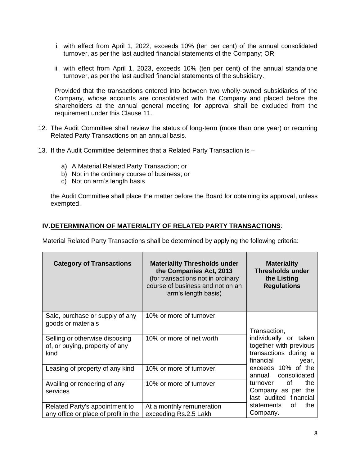- i. with effect from April 1, 2022, exceeds 10% (ten per cent) of the annual consolidated turnover, as per the last audited financial statements of the Company; OR
- ii. with effect from April 1, 2023, exceeds 10% (ten per cent) of the annual standalone turnover, as per the last audited financial statements of the subsidiary.

Provided that the transactions entered into between two wholly-owned subsidiaries of the Company, whose accounts are consolidated with the Company and placed before the shareholders at the annual general meeting for approval shall be excluded from the requirement under this Clause 11.

- 12. The Audit Committee shall review the status of long-term (more than one year) or recurring Related Party Transactions on an annual basis.
- 13. If the Audit Committee determines that a Related Party Transaction is
	- a) A Material Related Party Transaction; or
	- b) Not in the ordinary course of business; or
	- c) Not on arm's length basis

the Audit Committee shall place the matter before the Board for obtaining its approval, unless exempted.

#### **IV.DETERMINATION OF MATERIALITY OF RELATED PARTY TRANSACTIONS**:

Material Related Party Transactions shall be determined by applying the following criteria:

| <b>Category of Transactions</b>                                          | <b>Materiality Thresholds under</b><br>the Companies Act, 2013<br>(for transactions not in ordinary<br>course of business and not on an<br>arm's length basis) | <b>Materiality</b><br><b>Thresholds under</b><br>the Listing<br><b>Regulations</b>                           |  |
|--------------------------------------------------------------------------|----------------------------------------------------------------------------------------------------------------------------------------------------------------|--------------------------------------------------------------------------------------------------------------|--|
| Sale, purchase or supply of any<br>goods or materials                    | 10% or more of turnover                                                                                                                                        | Transaction,                                                                                                 |  |
| Selling or otherwise disposing<br>of, or buying, property of any<br>kind | 10% or more of net worth                                                                                                                                       | individually or taken<br>together with previous<br>transactions during a<br>financial<br>year,               |  |
| Leasing of property of any kind                                          | 10% or more of turnover                                                                                                                                        | exceeds 10% of the<br>annual consolidated                                                                    |  |
| Availing or rendering of any<br>services                                 | 10% or more of turnover                                                                                                                                        | of<br>the<br>turnover<br>Company as per the<br>last audited financial<br>the<br>statements<br>of<br>Company. |  |
| Related Party's appointment to<br>any office or place of profit in the   | At a monthly remuneration<br>exceeding Rs.2.5 Lakh                                                                                                             |                                                                                                              |  |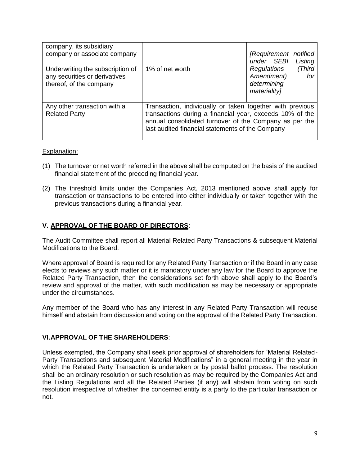| company, its subsidiary<br>company or associate company                                      |                                                                                                                                                                                                                                     | [Requirement notified<br>under SEBI<br>Listing                                   |  |
|----------------------------------------------------------------------------------------------|-------------------------------------------------------------------------------------------------------------------------------------------------------------------------------------------------------------------------------------|----------------------------------------------------------------------------------|--|
| Underwriting the subscription of<br>any securities or derivatives<br>thereof, of the company | 1% of net worth                                                                                                                                                                                                                     | (Third<br><b>Regulations</b><br>Amendment)<br>for<br>determining<br>materiality] |  |
| Any other transaction with a<br><b>Related Party</b>                                         | Transaction, individually or taken together with previous<br>transactions during a financial year, exceeds 10% of the<br>annual consolidated turnover of the Company as per the<br>last audited financial statements of the Company |                                                                                  |  |

#### Explanation:

- (1) The turnover or net worth referred in the above shall be computed on the basis of the audited financial statement of the preceding financial year.
- (2) The threshold limits under the Companies Act, 2013 mentioned above shall apply for transaction or transactions to be entered into either individually or taken together with the previous transactions during a financial year.

#### **V. APPROVAL OF THE BOARD OF DIRECTORS**:

The Audit Committee shall report all Material Related Party Transactions & subsequent Material Modifications to the Board.

Where approval of Board is required for any Related Party Transaction or if the Board in any case elects to reviews any such matter or it is mandatory under any law for the Board to approve the Related Party Transaction, then the considerations set forth above shall apply to the Board's review and approval of the matter, with such modification as may be necessary or appropriate under the circumstances.

Any member of the Board who has any interest in any Related Party Transaction will recuse himself and abstain from discussion and voting on the approval of the Related Party Transaction.

#### **VI.APPROVAL OF THE SHAREHOLDERS**:

Unless exempted, the Company shall seek prior approval of shareholders for "Material Related-Party Transactions and subsequent Material Modifications" in a general meeting in the year in which the Related Party Transaction is undertaken or by postal ballot process. The resolution shall be an ordinary resolution or such resolution as may be required by the Companies Act and the Listing Regulations and all the Related Parties (if any) will abstain from voting on such resolution irrespective of whether the concerned entity is a party to the particular transaction or not.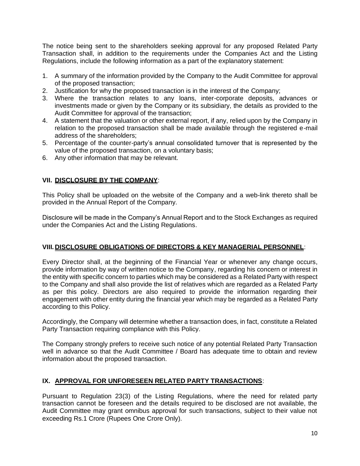The notice being sent to the shareholders seeking approval for any proposed Related Party Transaction shall, in addition to the requirements under the Companies Act and the Listing Regulations, include the following information as a part of the explanatory statement:

- 1. A summary of the information provided by the Company to the Audit Committee for approval of the proposed transaction;
- 2. Justification for why the proposed transaction is in the interest of the Company;
- 3. Where the transaction relates to any loans, inter-corporate deposits, advances or investments made or given by the Company or its subsidiary, the details as provided to the Audit Committee for approval of the transaction;
- 4. A statement that the valuation or other external report, if any, relied upon by the Company in relation to the proposed transaction shall be made available through the registered e-mail address of the shareholders;
- 5. Percentage of the counter-party's annual consolidated turnover that is represented by the value of the proposed transaction, on a voluntary basis;
- 6. Any other information that may be relevant.

#### **VII. DISCLOSURE BY THE COMPANY**:

This Policy shall be uploaded on the website of the Company and a web-link thereto shall be provided in the Annual Report of the Company.

Disclosure will be made in the Company's Annual Report and to the Stock Exchanges as required under the Companies Act and the Listing Regulations.

#### **VIII. DISCLOSURE OBLIGATIONS OF DIRECTORS & KEY MANAGERIAL PERSONNEL**:

Every Director shall, at the beginning of the Financial Year or whenever any change occurs, provide information by way of written notice to the Company, regarding his concern or interest in the entity with specific concern to parties which may be considered as a Related Party with respect to the Company and shall also provide the list of relatives which are regarded as a Related Party as per this policy. Directors are also required to provide the information regarding their engagement with other entity during the financial year which may be regarded as a Related Party according to this Policy.

Accordingly, the Company will determine whether a transaction does, in fact, constitute a Related Party Transaction requiring compliance with this Policy.

The Company strongly prefers to receive such notice of any potential Related Party Transaction well in advance so that the Audit Committee / Board has adequate time to obtain and review information about the proposed transaction.

#### **IX. APPROVAL FOR UNFORESEEN RELATED PARTY TRANSACTIONS**:

Pursuant to Regulation 23(3) of the Listing Regulations, where the need for related party transaction cannot be foreseen and the details required to be disclosed are not available, the Audit Committee may grant omnibus approval for such transactions, subject to their value not exceeding Rs.1 Crore (Rupees One Crore Only).